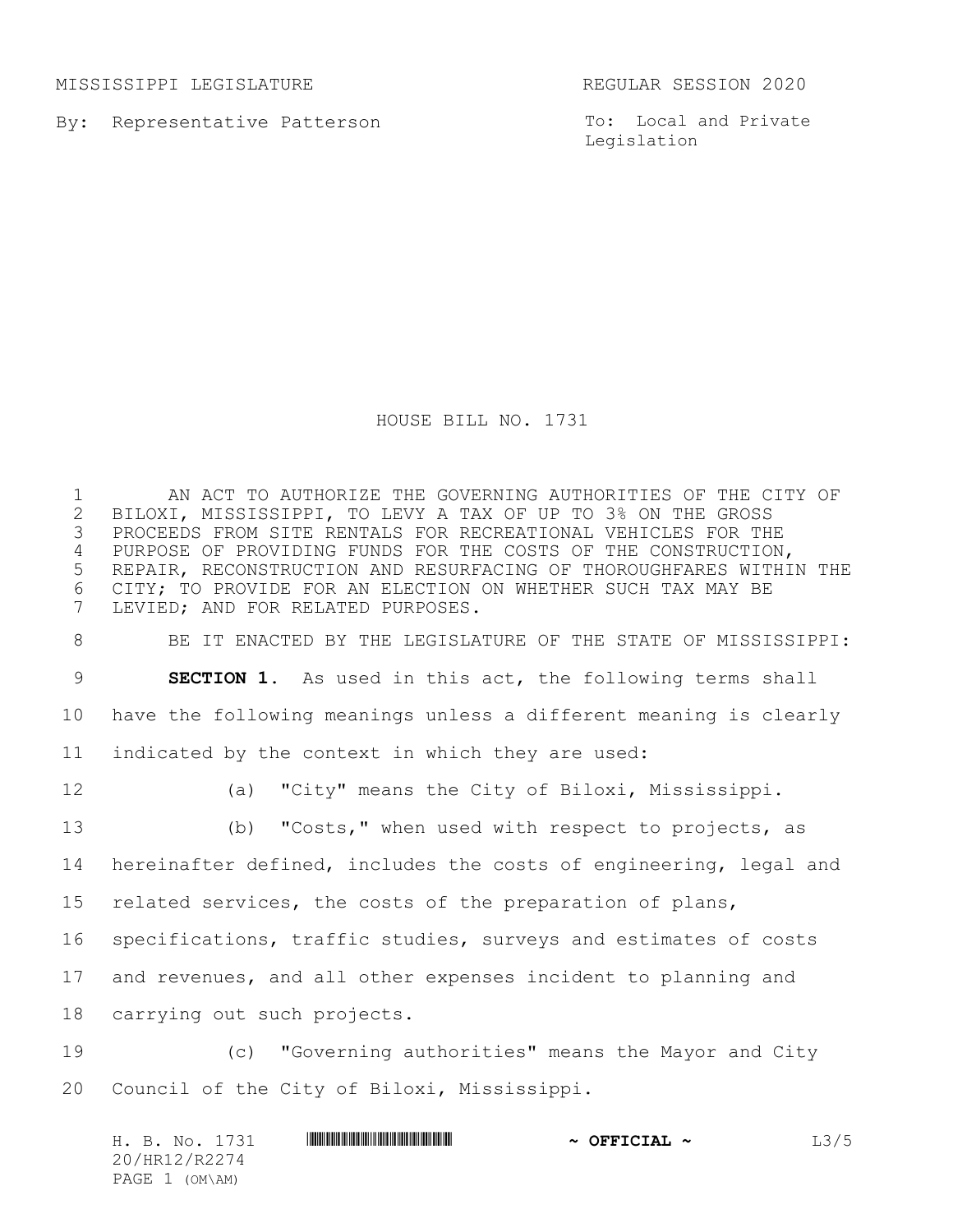MISSISSIPPI LEGISLATURE REGULAR SESSION 2020

By: Representative Patterson

To: Local and Private Legislation

## HOUSE BILL NO. 1731

1 AN ACT TO AUTHORIZE THE GOVERNING AUTHORITIES OF THE CITY OF 2 BILOXI, MISSISSIPPI, TO LEVY A TAX OF UP TO 3% ON THE GROSS 2 BILOXI, MISSISSIPPI, TO LEVY A TAX OF UP TO 3% ON THE GROSS<br>3 PROCEEDS FROM SITE RENTALS FOR RECREATIONAL VEHICLES FOR THI PROCEEDS FROM SITE RENTALS FOR RECREATIONAL VEHICLES FOR THE PURPOSE OF PROVIDING FUNDS FOR THE COSTS OF THE CONSTRUCTION, REPAIR, RECONSTRUCTION AND RESURFACING OF THOROUGHFARES WITHIN THE CITY; TO PROVIDE FOR AN ELECTION ON WHETHER SUCH TAX MAY BE LEVIED; AND FOR RELATED PURPOSES.

 BE IT ENACTED BY THE LEGISLATURE OF THE STATE OF MISSISSIPPI: **SECTION 1.** As used in this act, the following terms shall have the following meanings unless a different meaning is clearly

indicated by the context in which they are used:

(a) "City" means the City of Biloxi, Mississippi.

 (b) "Costs," when used with respect to projects, as hereinafter defined, includes the costs of engineering, legal and related services, the costs of the preparation of plans, specifications, traffic studies, surveys and estimates of costs

and revenues, and all other expenses incident to planning and

carrying out such projects.

 (c) "Governing authorities" means the Mayor and City Council of the City of Biloxi, Mississippi.

| H. B. No. 1731 | <u> I III III III III III III III II III II II II II II II II II II III III III III III III III III III III II</u> | $\sim$ OFFICIAL $\sim$ | L3/5 |
|----------------|--------------------------------------------------------------------------------------------------------------------|------------------------|------|
| 20/HR12/R2274  |                                                                                                                    |                        |      |
| PAGE 1 (OM\AM) |                                                                                                                    |                        |      |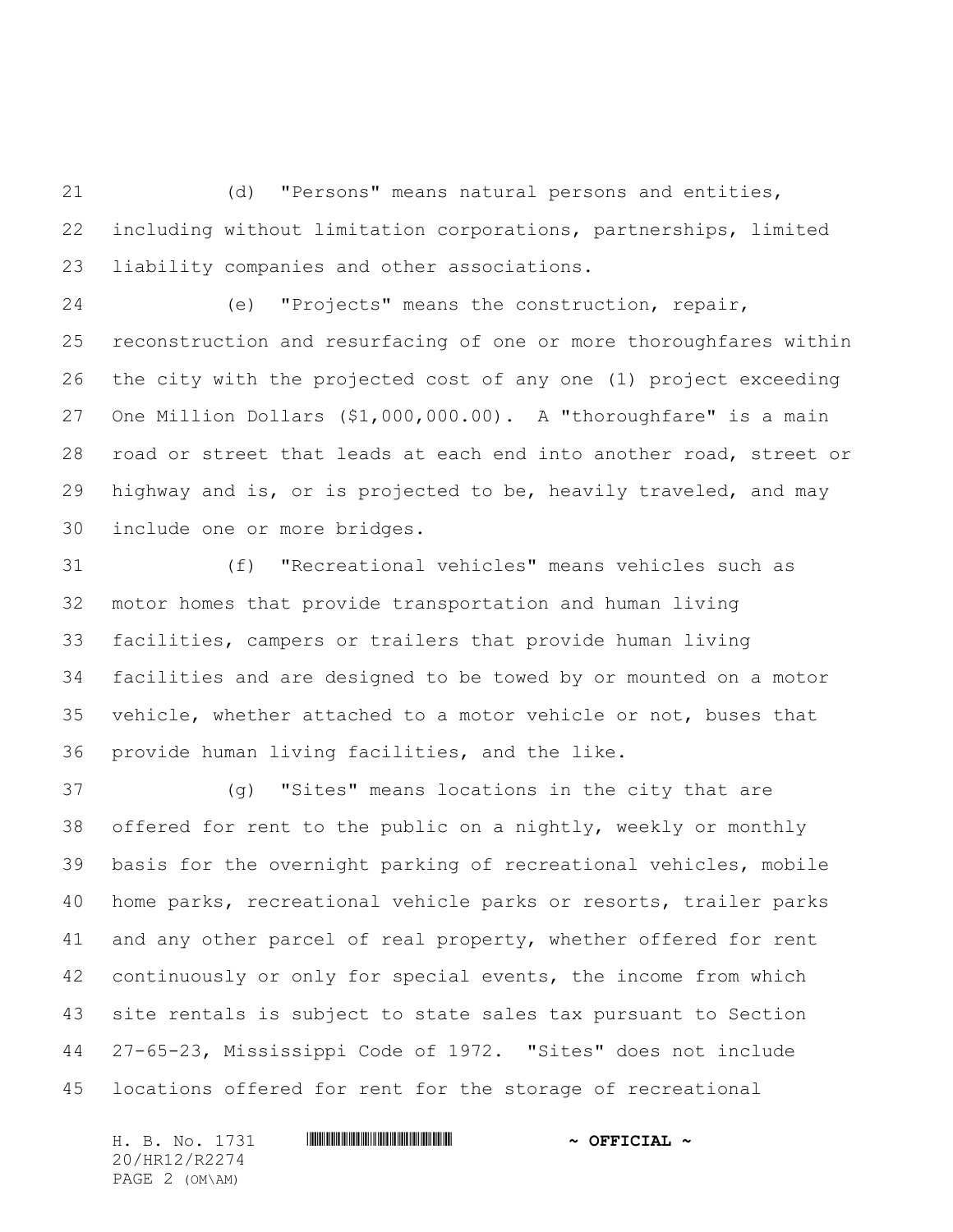(d) "Persons" means natural persons and entities, including without limitation corporations, partnerships, limited liability companies and other associations.

 (e) "Projects" means the construction, repair, reconstruction and resurfacing of one or more thoroughfares within the city with the projected cost of any one (1) project exceeding One Million Dollars (\$1,000,000.00). A "thoroughfare" is a main road or street that leads at each end into another road, street or highway and is, or is projected to be, heavily traveled, and may include one or more bridges.

 (f) "Recreational vehicles" means vehicles such as motor homes that provide transportation and human living facilities, campers or trailers that provide human living facilities and are designed to be towed by or mounted on a motor vehicle, whether attached to a motor vehicle or not, buses that provide human living facilities, and the like.

 (g) "Sites" means locations in the city that are offered for rent to the public on a nightly, weekly or monthly basis for the overnight parking of recreational vehicles, mobile home parks, recreational vehicle parks or resorts, trailer parks and any other parcel of real property, whether offered for rent continuously or only for special events, the income from which site rentals is subject to state sales tax pursuant to Section 27-65-23, Mississippi Code of 1972. "Sites" does not include locations offered for rent for the storage of recreational

20/HR12/R2274 PAGE 2 (OM\AM)

H. B. No. 1731 **. HRIP AND AND AN ALL AND AN ALL AND AN ALL AND AN ALL AND AN ALL AND AN ALL AND AN ALL AND AN**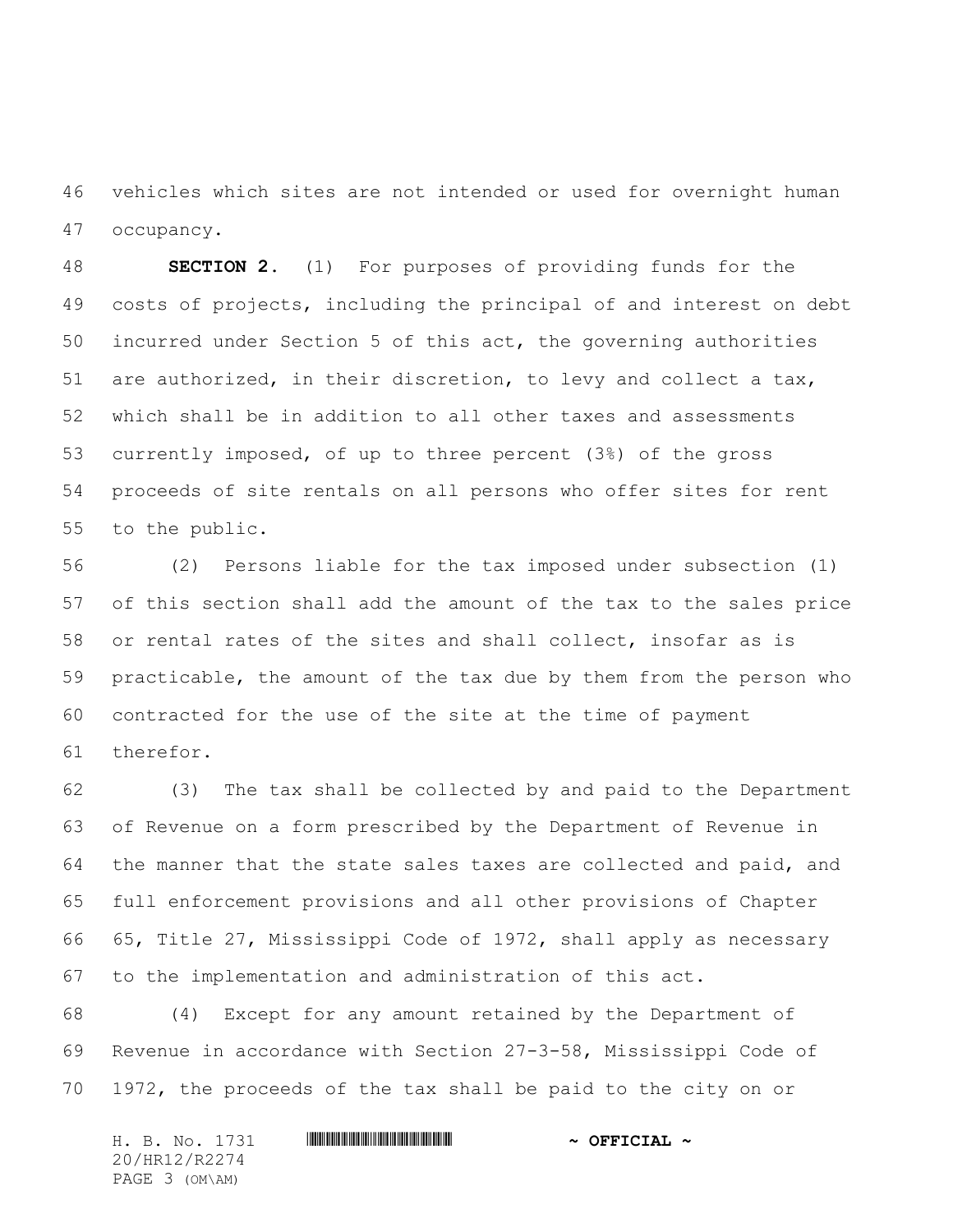vehicles which sites are not intended or used for overnight human occupancy.

 **SECTION 2.** (1) For purposes of providing funds for the costs of projects, including the principal of and interest on debt incurred under Section 5 of this act, the governing authorities are authorized, in their discretion, to levy and collect a tax, which shall be in addition to all other taxes and assessments currently imposed, of up to three percent (3%) of the gross proceeds of site rentals on all persons who offer sites for rent to the public.

 (2) Persons liable for the tax imposed under subsection (1) of this section shall add the amount of the tax to the sales price or rental rates of the sites and shall collect, insofar as is practicable, the amount of the tax due by them from the person who contracted for the use of the site at the time of payment therefor.

 (3) The tax shall be collected by and paid to the Department of Revenue on a form prescribed by the Department of Revenue in the manner that the state sales taxes are collected and paid, and full enforcement provisions and all other provisions of Chapter 65, Title 27, Mississippi Code of 1972, shall apply as necessary to the implementation and administration of this act.

 (4) Except for any amount retained by the Department of Revenue in accordance with Section 27-3-58, Mississippi Code of 1972, the proceeds of the tax shall be paid to the city on or

| H. B. No. 1731 | $\sim$ OFFICIAL $\sim$ |
|----------------|------------------------|
| 20/HR12/R2274  |                        |
| PAGE 3 (OM\AM) |                        |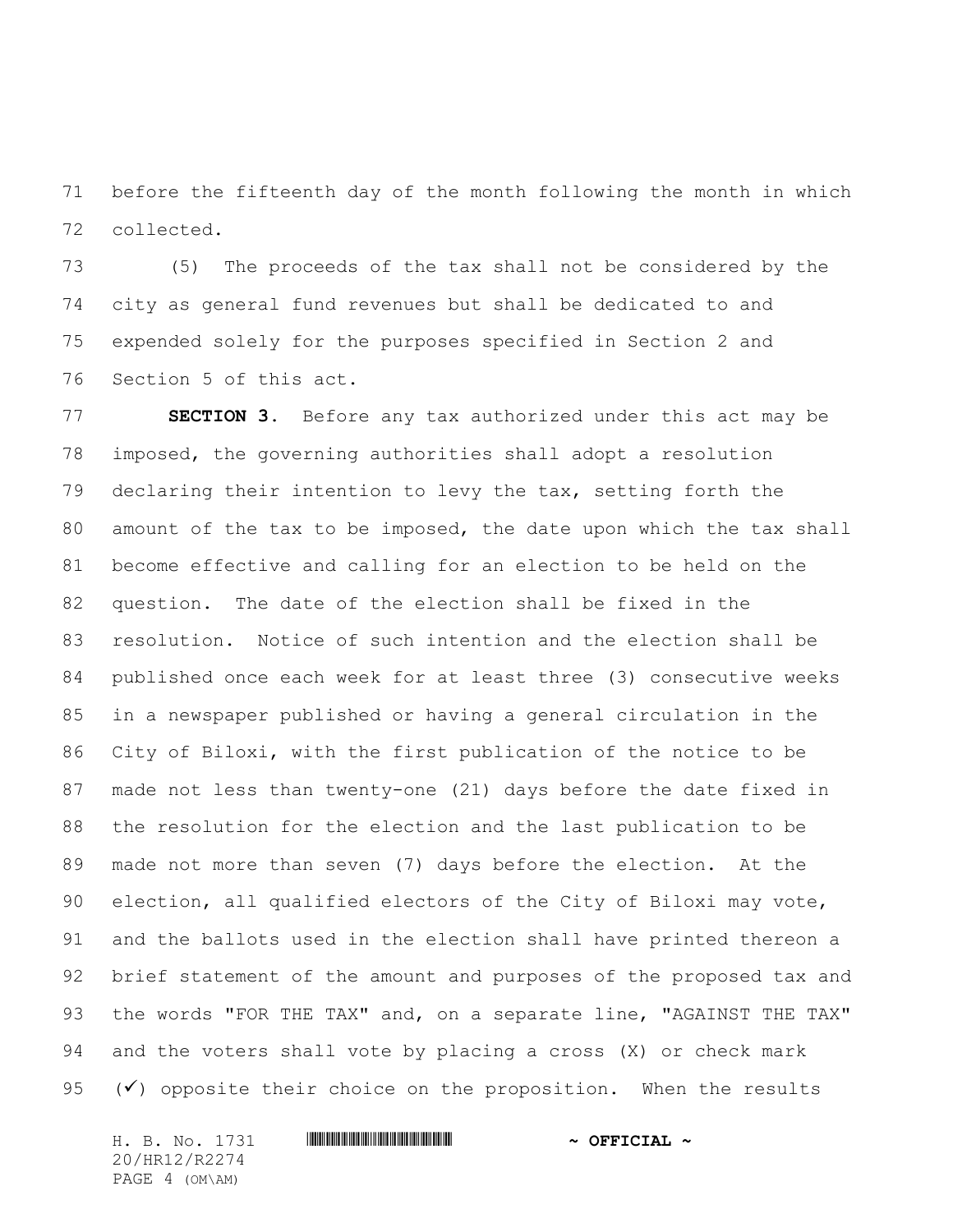before the fifteenth day of the month following the month in which collected.

 (5) The proceeds of the tax shall not be considered by the city as general fund revenues but shall be dedicated to and expended solely for the purposes specified in Section 2 and Section 5 of this act.

 **SECTION 3.** Before any tax authorized under this act may be imposed, the governing authorities shall adopt a resolution declaring their intention to levy the tax, setting forth the amount of the tax to be imposed, the date upon which the tax shall become effective and calling for an election to be held on the question. The date of the election shall be fixed in the resolution. Notice of such intention and the election shall be published once each week for at least three (3) consecutive weeks in a newspaper published or having a general circulation in the City of Biloxi, with the first publication of the notice to be made not less than twenty-one (21) days before the date fixed in the resolution for the election and the last publication to be made not more than seven (7) days before the election. At the election, all qualified electors of the City of Biloxi may vote, and the ballots used in the election shall have printed thereon a brief statement of the amount and purposes of the proposed tax and the words "FOR THE TAX" and, on a separate line, "AGAINST THE TAX" and the voters shall vote by placing a cross (X) or check mark  $(\checkmark)$  opposite their choice on the proposition. When the results

H. B. No. 1731 **. HRIP AND AND AN ALL AND AN ALL AND AN ALL AND AN ALL AND AN ALL AND AN ALL AND AN ALL AND AN** 20/HR12/R2274 PAGE 4 (OM\AM)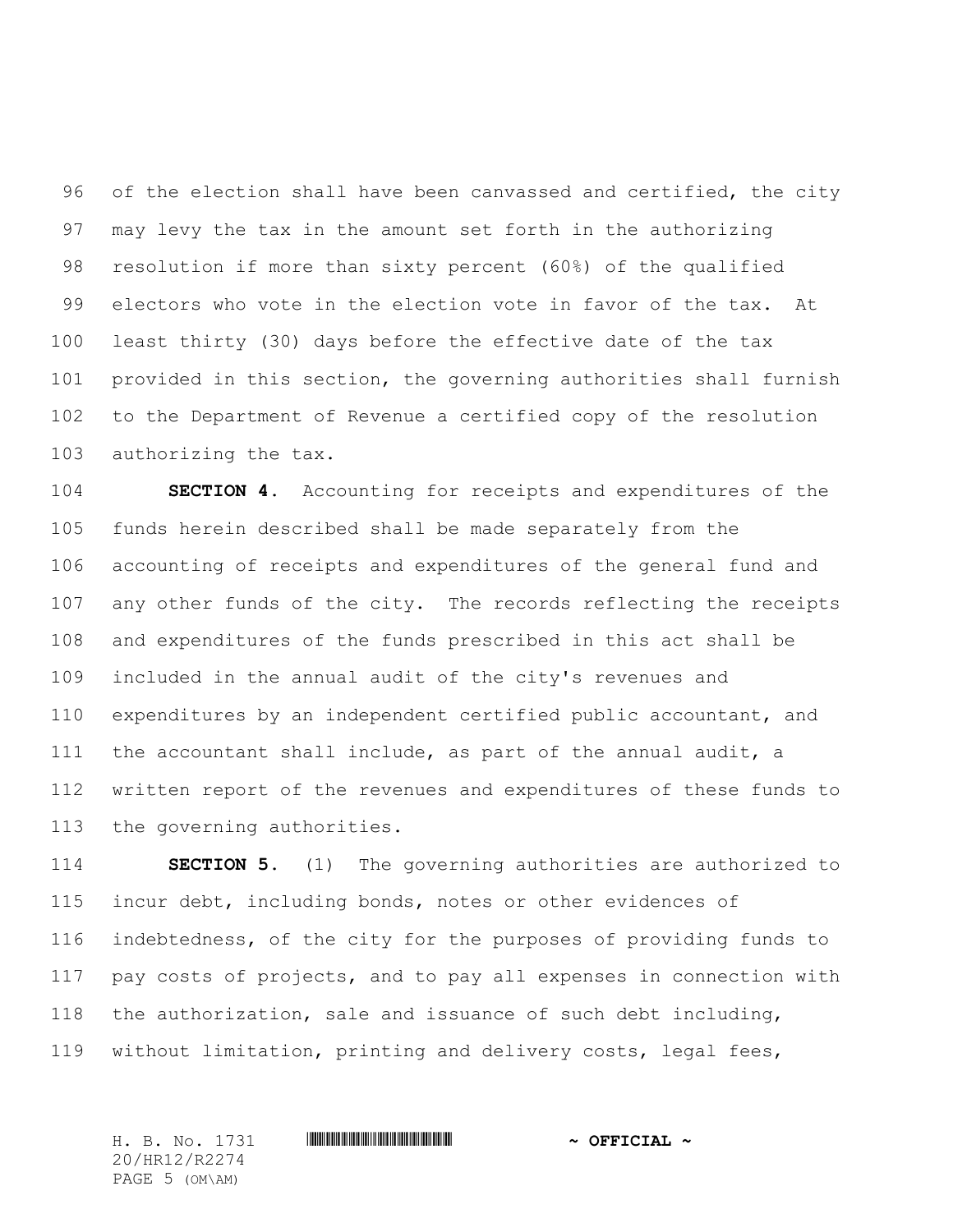96 of the election shall have been canvassed and certified, the city may levy the tax in the amount set forth in the authorizing resolution if more than sixty percent (60%) of the qualified electors who vote in the election vote in favor of the tax. At least thirty (30) days before the effective date of the tax provided in this section, the governing authorities shall furnish to the Department of Revenue a certified copy of the resolution authorizing the tax.

 **SECTION 4.** Accounting for receipts and expenditures of the funds herein described shall be made separately from the accounting of receipts and expenditures of the general fund and any other funds of the city. The records reflecting the receipts and expenditures of the funds prescribed in this act shall be included in the annual audit of the city's revenues and expenditures by an independent certified public accountant, and the accountant shall include, as part of the annual audit, a written report of the revenues and expenditures of these funds to the governing authorities.

 **SECTION 5.** (1) The governing authorities are authorized to incur debt, including bonds, notes or other evidences of indebtedness, of the city for the purposes of providing funds to pay costs of projects, and to pay all expenses in connection with the authorization, sale and issuance of such debt including, without limitation, printing and delivery costs, legal fees,

H. B. No. 1731 \*HR12/R2274\* **~ OFFICIAL ~** 20/HR12/R2274 PAGE 5 (OM\AM)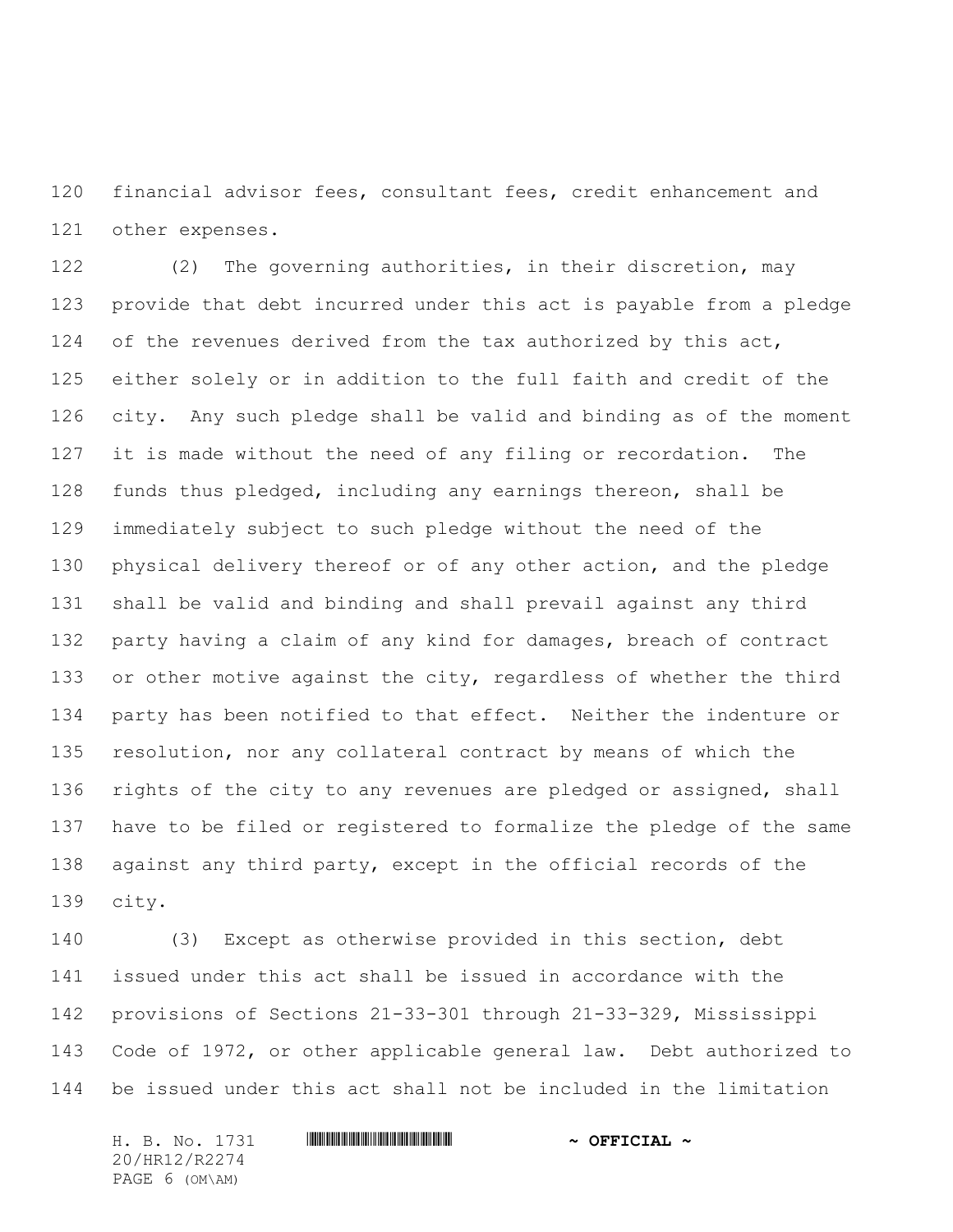financial advisor fees, consultant fees, credit enhancement and other expenses.

 (2) The governing authorities, in their discretion, may provide that debt incurred under this act is payable from a pledge of the revenues derived from the tax authorized by this act, either solely or in addition to the full faith and credit of the city. Any such pledge shall be valid and binding as of the moment it is made without the need of any filing or recordation. The funds thus pledged, including any earnings thereon, shall be immediately subject to such pledge without the need of the 130 physical delivery thereof or of any other action, and the pledge shall be valid and binding and shall prevail against any third party having a claim of any kind for damages, breach of contract 133 or other motive against the city, regardless of whether the third party has been notified to that effect. Neither the indenture or resolution, nor any collateral contract by means of which the 136 rights of the city to any revenues are pledged or assigned, shall have to be filed or registered to formalize the pledge of the same against any third party, except in the official records of the city.

 (3) Except as otherwise provided in this section, debt issued under this act shall be issued in accordance with the provisions of Sections 21-33-301 through 21-33-329, Mississippi Code of 1972, or other applicable general law. Debt authorized to be issued under this act shall not be included in the limitation

H. B. No. 1731 \*HR12/R2274\* **~ OFFICIAL ~** 20/HR12/R2274 PAGE 6 (OM\AM)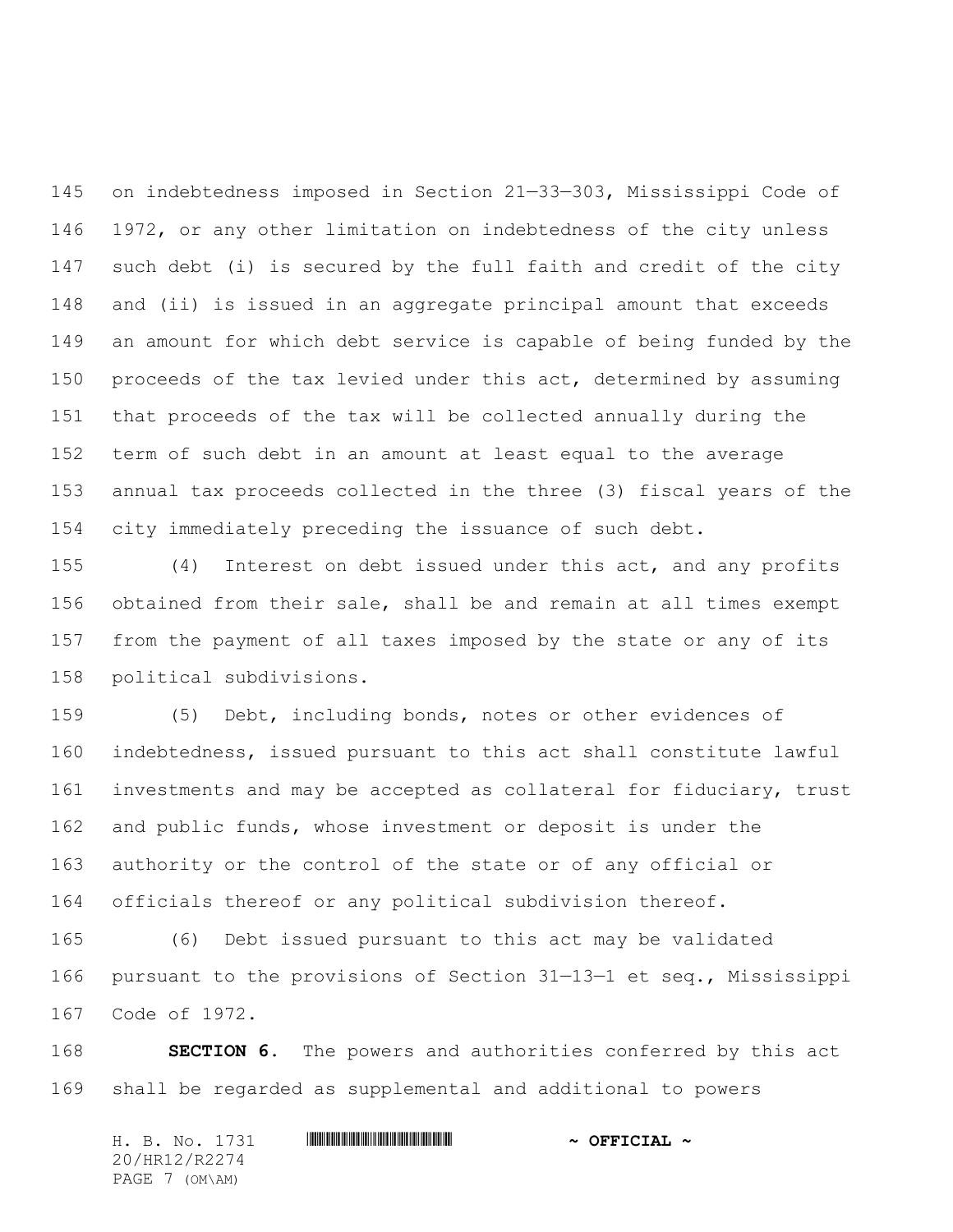on indebtedness imposed in Section 21—33—303, Mississippi Code of 1972, or any other limitation on indebtedness of the city unless such debt (i) is secured by the full faith and credit of the city and (ii) is issued in an aggregate principal amount that exceeds an amount for which debt service is capable of being funded by the 150 proceeds of the tax levied under this act, determined by assuming that proceeds of the tax will be collected annually during the term of such debt in an amount at least equal to the average annual tax proceeds collected in the three (3) fiscal years of the city immediately preceding the issuance of such debt.

 (4) Interest on debt issued under this act, and any profits obtained from their sale, shall be and remain at all times exempt from the payment of all taxes imposed by the state or any of its political subdivisions.

 (5) Debt, including bonds, notes or other evidences of indebtedness, issued pursuant to this act shall constitute lawful investments and may be accepted as collateral for fiduciary, trust and public funds, whose investment or deposit is under the authority or the control of the state or of any official or officials thereof or any political subdivision thereof.

 (6) Debt issued pursuant to this act may be validated pursuant to the provisions of Section 31—13—1 et seq., Mississippi Code of 1972.

 **SECTION 6.** The powers and authorities conferred by this act shall be regarded as supplemental and additional to powers

| H. B. No. 1731 | $\sim$ OFFICIAL $\sim$ |
|----------------|------------------------|
| 20/HR12/R2274  |                        |
| PAGE 7 (OM\AM) |                        |